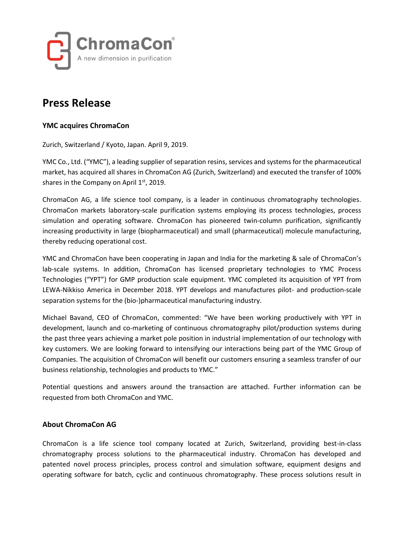

# **Press Release**

### **YMC acquires ChromaCon**

Zurich, Switzerland / Kyoto, Japan. April 9, 2019.

YMC Co., Ltd. ("YMC"), a leading supplier of separation resins, services and systems for the pharmaceutical market, has acquired all shares in ChromaCon AG (Zurich, Switzerland) and executed the transfer of 100% shares in the Company on April 1st, 2019.

ChromaCon AG, a life science tool company, is a leader in continuous chromatography technologies. ChromaCon markets laboratory-scale purification systems employing its process technologies, process simulation and operating software. ChromaCon has pioneered twin-column purification, significantly increasing productivity in large (biopharmaceutical) and small (pharmaceutical) molecule manufacturing, thereby reducing operational cost.

YMC and ChromaCon have been cooperating in Japan and India for the marketing & sale of ChromaCon's lab-scale systems. In addition, ChromaCon has licensed proprietary technologies to YMC Process Technologies ("YPT") for GMP production scale equipment. YMC completed its acquisition of YPT from LEWA-Nikkiso America in December 2018. YPT develops and manufactures pilot- and production-scale separation systems for the (bio-)pharmaceutical manufacturing industry.

Michael Bavand, CEO of ChromaCon, commented: "We have been working productively with YPT in development, launch and co-marketing of continuous chromatography pilot/production systems during the past three years achieving a market pole position in industrial implementation of our technology with key customers. We are looking forward to intensifying our interactions being part of the YMC Group of Companies. The acquisition of ChromaCon will benefit our customers ensuring a seamless transfer of our business relationship, technologies and products to YMC."

Potential questions and answers around the transaction are attached. Further information can be requested from both ChromaCon and YMC.

#### **About ChromaCon AG**

ChromaCon is a life science tool company located at Zurich, Switzerland, providing best-in-class chromatography process solutions to the pharmaceutical industry. ChromaCon has developed and patented novel process principles, process control and simulation software, equipment designs and operating software for batch, cyclic and continuous chromatography. These process solutions result in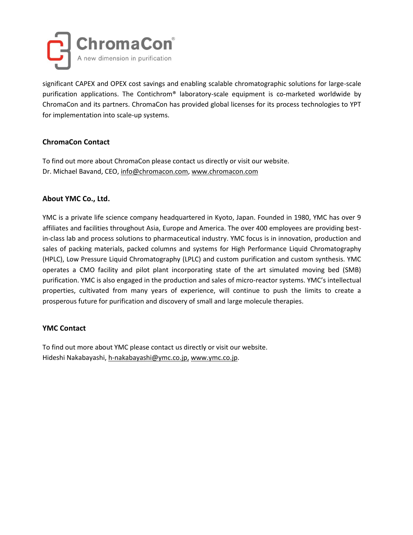

significant CAPEX and OPEX cost savings and enabling scalable chromatographic solutions for large-scale purification applications. The Contichrom® laboratory-scale equipment is co-marketed worldwide by ChromaCon and its partners. ChromaCon has provided global licenses for its process technologies to YPT for implementation into scale-up systems.

# **ChromaCon Contact**

To find out more about ChromaCon please contact us directly or visit our website. Dr. Michael Bavand, CEO, [info@chromacon.com,](mailto:info@chromacon.com) [www.chromacon.com](http://www.chromacon.ch/)

# **About YMC Co., Ltd.**

YMC is a private life science company headquartered in Kyoto, Japan. Founded in 1980, YMC has over 9 affiliates and facilities throughout Asia, Europe and America. The over 400 employees are providing bestin-class lab and process solutions to pharmaceutical industry. YMC focus is in innovation, production and sales of packing materials, packed columns and systems for High Performance Liquid Chromatography (HPLC), Low Pressure Liquid Chromatography (LPLC) and custom purification and custom synthesis. YMC operates a CMO facility and pilot plant incorporating state of the art simulated moving bed (SMB) purification. YMC is also engaged in the production and sales of micro-reactor systems. YMC's intellectual properties, cultivated from many years of experience, will continue to push the limits to create a prosperous future for purification and discovery of small and large molecule therapies.

#### **YMC Contact**

To find out more about YMC please contact us directly or visit our website. Hideshi Nakabayashi, [h-nakabayashi@ymc.co.jp,](mailto:h-nakabayashi@ymc.co.jp) [www.ymc.co.jp.](http://www.ymc.co.jp/)